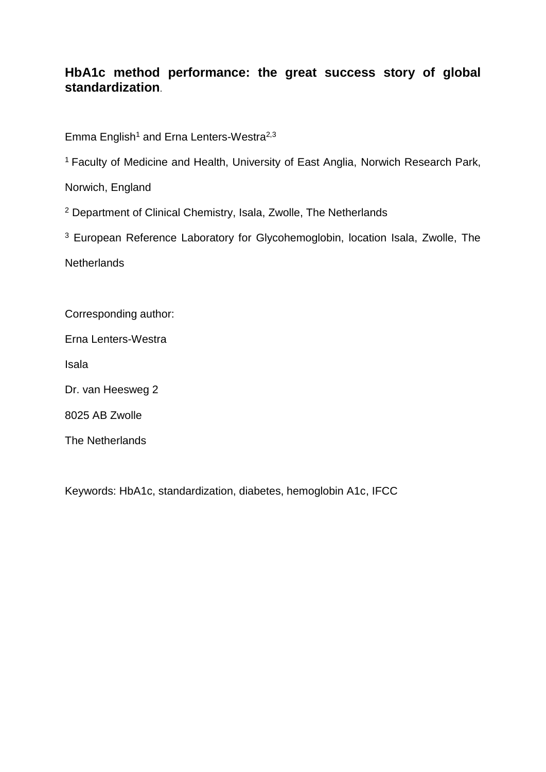# **HbA1c method performance: the great success story of global standardization**.

Emma English<sup>1</sup> and Erna Lenters-Westra<sup>2,3</sup>

<sup>1</sup> Faculty of Medicine and Health, University of East Anglia, Norwich Research Park,

Norwich, England

<sup>2</sup> Department of Clinical Chemistry, Isala, Zwolle, The Netherlands

<sup>3</sup> European Reference Laboratory for Glycohemoglobin, location Isala, Zwolle, The

**Netherlands** 

Corresponding author:

Erna Lenters-Westra

Isala

Dr. van Heesweg 2

8025 AB Zwolle

The Netherlands

Keywords: HbA1c, standardization, diabetes, hemoglobin A1c, IFCC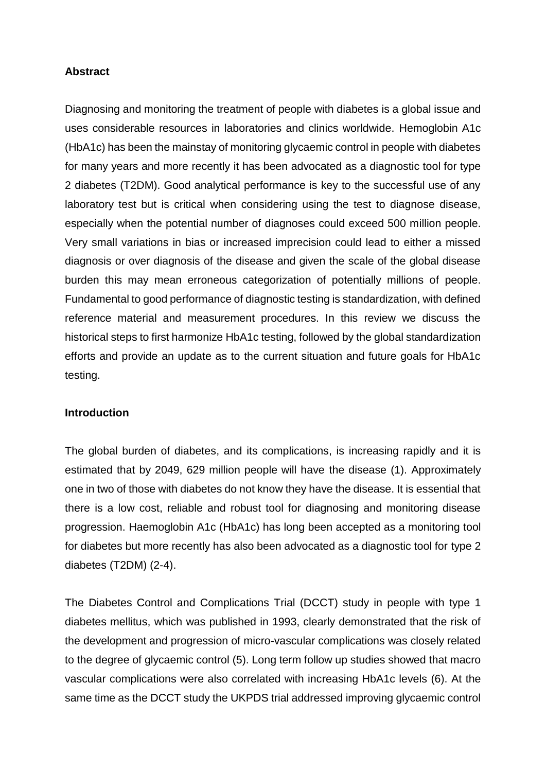## **Abstract**

Diagnosing and monitoring the treatment of people with diabetes is a global issue and uses considerable resources in laboratories and clinics worldwide. Hemoglobin A1c (HbA1c) has been the mainstay of monitoring glycaemic control in people with diabetes for many years and more recently it has been advocated as a diagnostic tool for type 2 diabetes (T2DM). Good analytical performance is key to the successful use of any laboratory test but is critical when considering using the test to diagnose disease, especially when the potential number of diagnoses could exceed 500 million people. Very small variations in bias or increased imprecision could lead to either a missed diagnosis or over diagnosis of the disease and given the scale of the global disease burden this may mean erroneous categorization of potentially millions of people. Fundamental to good performance of diagnostic testing is standardization, with defined reference material and measurement procedures. In this review we discuss the historical steps to first harmonize HbA1c testing, followed by the global standardization efforts and provide an update as to the current situation and future goals for HbA1c testing.

## **Introduction**

The global burden of diabetes, and its complications, is increasing rapidly and it is estimated that by 2049, 629 million people will have the disease (1). Approximately one in two of those with diabetes do not know they have the disease. It is essential that there is a low cost, reliable and robust tool for diagnosing and monitoring disease progression. Haemoglobin A1c (HbA1c) has long been accepted as a monitoring tool for diabetes but more recently has also been advocated as a diagnostic tool for type 2 diabetes (T2DM) (2-4).

The Diabetes Control and Complications Trial (DCCT) study in people with type 1 diabetes mellitus, which was published in 1993, clearly demonstrated that the risk of the development and progression of micro-vascular complications was closely related to the degree of glycaemic control (5). Long term follow up studies showed that macro vascular complications were also correlated with increasing HbA1c levels (6). At the same time as the DCCT study the UKPDS trial addressed improving glycaemic control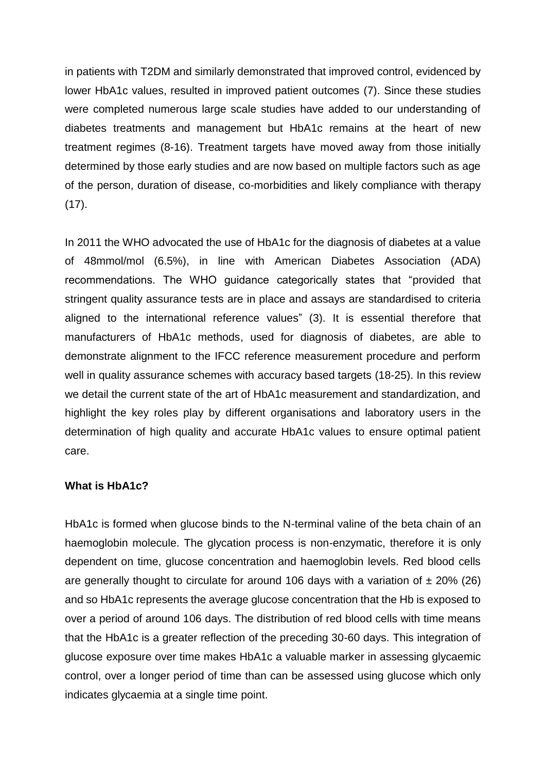in patients with T2DM and similarly demonstrated that improved control, evidenced by lower HbA1c values, resulted in improved patient outcomes (7). Since these studies were completed numerous large scale studies have added to our understanding of diabetes treatments and management but HbA1c remains at the heart of new treatment regimes (8-16). Treatment targets have moved away from those initially determined by those early studies and are now based on multiple factors such as age of the person, duration of disease, co-morbidities and likely compliance with therapy  $(17)$ .

In 2011 the WHO advocated the use of HbA1c for the diagnosis of diabetes at a value of 48mmol/mol (6.5%), in line with American Diabetes Association (ADA) recommendations. The WHO guidance categorically states that "provided that stringent quality assurance tests are in place and assays are standardised to criteria aligned to the international reference values" (3). It is essential therefore that manufacturers of HbA1c methods, used for diagnosis of diabetes, are able to demonstrate alignment to the IFCC reference measurement procedure and perform well in quality assurance schemes with accuracy based targets (18-25). In this review we detail the current state of the art of HbA1c measurement and standardization, and highlight the key roles play by different organisations and laboratory users in the determination of high quality and accurate HbA1c values to ensure optimal patient care.

## **What is HbA1c?**

HbA1c is formed when glucose binds to the N-terminal valine of the beta chain of an haemoglobin molecule. The glycation process is non-enzymatic, therefore it is only dependent on time, glucose concentration and haemoglobin levels. Red blood cells are generally thought to circulate for around 106 days with a variation of  $\pm$  20% (26) and so HbA1c represents the average glucose concentration that the Hb is exposed to over a period of around 106 days. The distribution of red blood cells with time means that the HbA1c is a greater reflection of the preceding 30-60 days. This integration of glucose exposure over time makes HbA1c a valuable marker in assessing glycaemic control, over a longer period of time than can be assessed using glucose which only indicates glycaemia at a single time point.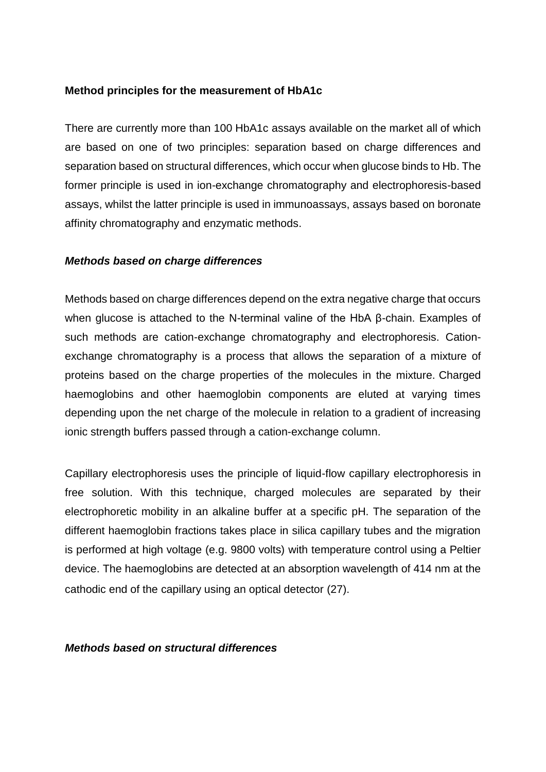## **Method principles for the measurement of HbA1c**

There are currently more than 100 HbA1c assays available on the market all of which are based on one of two principles: separation based on charge differences and separation based on structural differences, which occur when glucose binds to Hb. The former principle is used in ion-exchange chromatography and electrophoresis-based assays, whilst the latter principle is used in immunoassays, assays based on boronate affinity chromatography and enzymatic methods.

#### *Methods based on charge differences*

Methods based on charge differences depend on the extra negative charge that occurs when glucose is attached to the N-terminal valine of the HbA β-chain. Examples of such methods are cation-exchange chromatography and electrophoresis. Cationexchange chromatography is a process that allows the separation of a mixture of proteins based on the charge properties of the molecules in the mixture. Charged haemoglobins and other haemoglobin components are eluted at varying times depending upon the net charge of the molecule in relation to a gradient of increasing ionic strength buffers passed through a cation-exchange column.

Capillary electrophoresis uses the principle of liquid-flow capillary electrophoresis in free solution. With this technique, charged molecules are separated by their electrophoretic mobility in an alkaline buffer at a specific pH. The separation of the different haemoglobin fractions takes place in silica capillary tubes and the migration is performed at high voltage (e.g. 9800 volts) with temperature control using a Peltier device. The haemoglobins are detected at an absorption wavelength of 414 nm at the cathodic end of the capillary using an optical detector (27).

*Methods based on structural differences*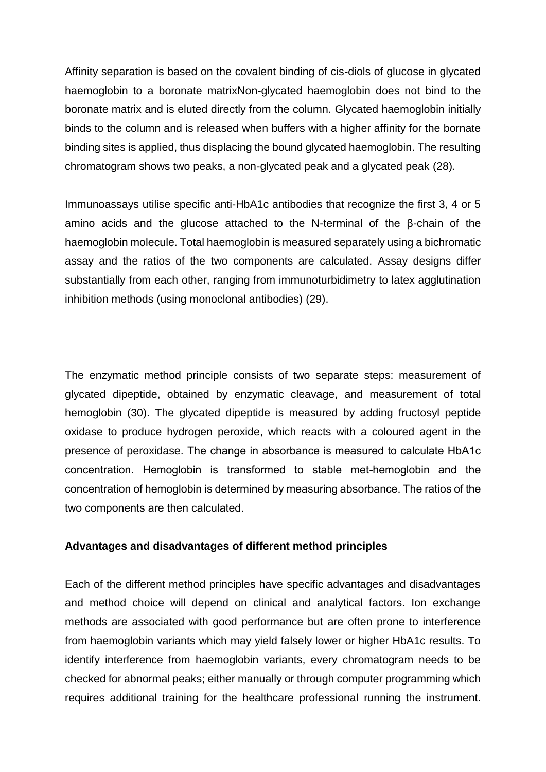Affinity separation is based on the covalent binding of cis-diols of glucose in glycated haemoglobin to a boronate matrixNon-glycated haemoglobin does not bind to the boronate matrix and is eluted directly from the column. Glycated haemoglobin initially binds to the column and is released when buffers with a higher affinity for the bornate binding sites is applied, thus displacing the bound glycated haemoglobin. The resulting chromatogram shows two peaks, a non-glycated peak and a glycated peak (28)*.* 

Immunoassays utilise specific anti-HbA1c antibodies that recognize the first 3, 4 or 5 amino acids and the glucose attached to the N-terminal of the β-chain of the haemoglobin molecule. Total haemoglobin is measured separately using a bichromatic assay and the ratios of the two components are calculated. Assay designs differ substantially from each other, ranging from immunoturbidimetry to latex agglutination inhibition methods (using monoclonal antibodies) (29).

The enzymatic method principle consists of two separate steps: measurement of glycated dipeptide, obtained by enzymatic cleavage, and measurement of total hemoglobin (30). The glycated dipeptide is measured by adding fructosyl peptide oxidase to produce hydrogen peroxide, which reacts with a coloured agent in the presence of peroxidase. The change in absorbance is measured to calculate HbA1c concentration. Hemoglobin is transformed to stable met-hemoglobin and the concentration of hemoglobin is determined by measuring absorbance. The ratios of the two components are then calculated.

## **Advantages and disadvantages of different method principles**

Each of the different method principles have specific advantages and disadvantages and method choice will depend on clinical and analytical factors. Ion exchange methods are associated with good performance but are often prone to interference from haemoglobin variants which may yield falsely lower or higher HbA1c results. To identify interference from haemoglobin variants, every chromatogram needs to be checked for abnormal peaks; either manually or through computer programming which requires additional training for the healthcare professional running the instrument.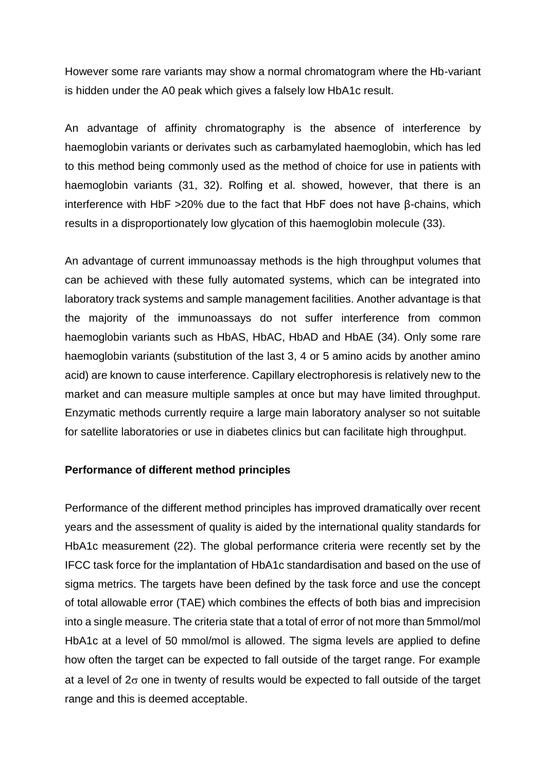However some rare variants may show a normal chromatogram where the Hb-variant is hidden under the A0 peak which gives a falsely low HbA1c result.

An advantage of affinity chromatography is the absence of interference by haemoglobin variants or derivates such as carbamylated haemoglobin, which has led to this method being commonly used as the method of choice for use in patients with haemoglobin variants (31, 32). Rolfing et al. showed, however, that there is an interference with HbF >20% due to the fact that HbF does not have β-chains, which results in a disproportionately low glycation of this haemoglobin molecule (33).

An advantage of current immunoassay methods is the high throughput volumes that can be achieved with these fully automated systems, which can be integrated into laboratory track systems and sample management facilities. Another advantage is that the majority of the immunoassays do not suffer interference from common haemoglobin variants such as HbAS, HbAC, HbAD and HbAE (34). Only some rare haemoglobin variants (substitution of the last 3, 4 or 5 amino acids by another amino acid) are known to cause interference. Capillary electrophoresis is relatively new to the market and can measure multiple samples at once but may have limited throughput. Enzymatic methods currently require a large main laboratory analyser so not suitable for satellite laboratories or use in diabetes clinics but can facilitate high throughput.

## **Performance of different method principles**

Performance of the different method principles has improved dramatically over recent years and the assessment of quality is aided by the international quality standards for HbA1c measurement (22). The global performance criteria were recently set by the IFCC task force for the implantation of HbA1c standardisation and based on the use of sigma metrics. The targets have been defined by the task force and use the concept of total allowable error (TAE) which combines the effects of both bias and imprecision into a single measure. The criteria state that a total of error of not more than 5mmol/mol HbA1c at a level of 50 mmol/mol is allowed. The sigma levels are applied to define how often the target can be expected to fall outside of the target range. For example at a level of  $2\sigma$  one in twenty of results would be expected to fall outside of the target range and this is deemed acceptable.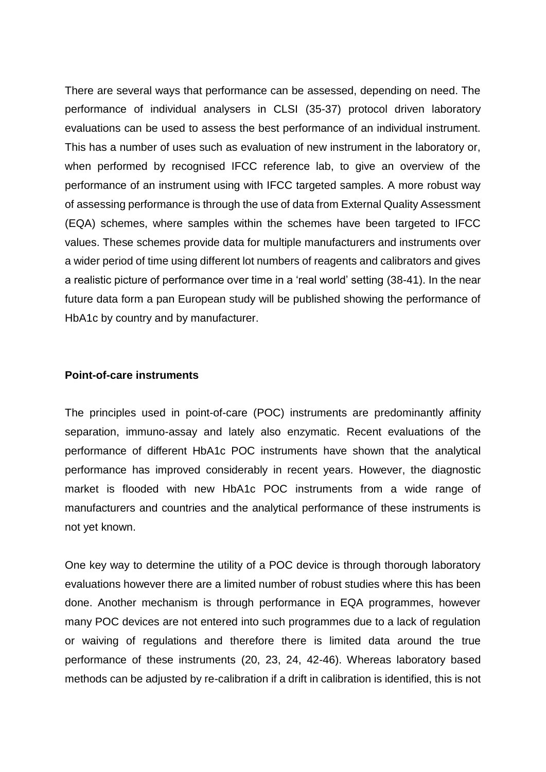There are several ways that performance can be assessed, depending on need. The performance of individual analysers in CLSI (35-37) protocol driven laboratory evaluations can be used to assess the best performance of an individual instrument. This has a number of uses such as evaluation of new instrument in the laboratory or, when performed by recognised IFCC reference lab, to give an overview of the performance of an instrument using with IFCC targeted samples. A more robust way of assessing performance is through the use of data from External Quality Assessment (EQA) schemes, where samples within the schemes have been targeted to IFCC values. These schemes provide data for multiple manufacturers and instruments over a wider period of time using different lot numbers of reagents and calibrators and gives a realistic picture of performance over time in a 'real world' setting (38-41). In the near future data form a pan European study will be published showing the performance of HbA1c by country and by manufacturer.

#### **Point-of-care instruments**

The principles used in point-of-care (POC) instruments are predominantly affinity separation, immuno-assay and lately also enzymatic. Recent evaluations of the performance of different HbA1c POC instruments have shown that the analytical performance has improved considerably in recent years. However, the diagnostic market is flooded with new HbA1c POC instruments from a wide range of manufacturers and countries and the analytical performance of these instruments is not yet known.

One key way to determine the utility of a POC device is through thorough laboratory evaluations however there are a limited number of robust studies where this has been done. Another mechanism is through performance in EQA programmes, however many POC devices are not entered into such programmes due to a lack of regulation or waiving of regulations and therefore there is limited data around the true performance of these instruments (20, 23, 24, 42-46). Whereas laboratory based methods can be adjusted by re-calibration if a drift in calibration is identified, this is not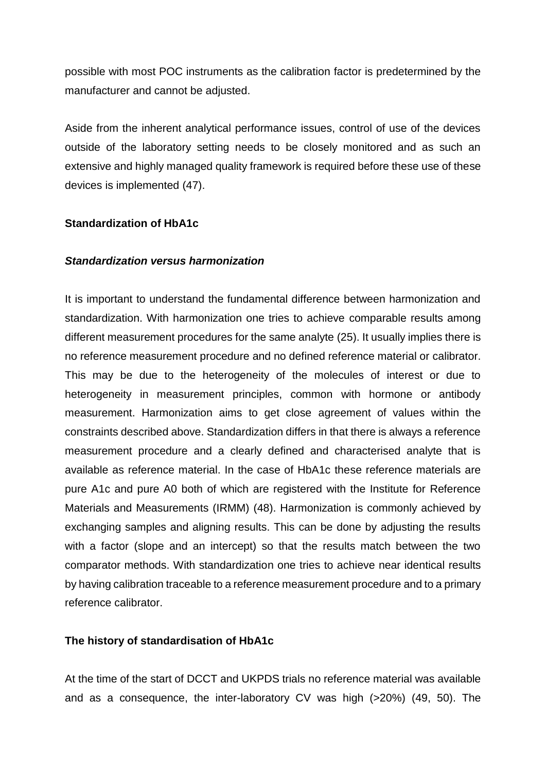possible with most POC instruments as the calibration factor is predetermined by the manufacturer and cannot be adjusted.

Aside from the inherent analytical performance issues, control of use of the devices outside of the laboratory setting needs to be closely monitored and as such an extensive and highly managed quality framework is required before these use of these devices is implemented (47).

## **Standardization of HbA1c**

#### *Standardization versus harmonization*

It is important to understand the fundamental difference between harmonization and standardization. With harmonization one tries to achieve comparable results among different measurement procedures for the same analyte (25). It usually implies there is no reference measurement procedure and no defined reference material or calibrator. This may be due to the heterogeneity of the molecules of interest or due to heterogeneity in measurement principles, common with hormone or antibody measurement. Harmonization aims to get close agreement of values within the constraints described above. Standardization differs in that there is always a reference measurement procedure and a clearly defined and characterised analyte that is available as reference material. In the case of HbA1c these reference materials are pure A1c and pure A0 both of which are registered with the Institute for Reference Materials and Measurements (IRMM) (48). Harmonization is commonly achieved by exchanging samples and aligning results. This can be done by adjusting the results with a factor (slope and an intercept) so that the results match between the two comparator methods. With standardization one tries to achieve near identical results by having calibration traceable to a reference measurement procedure and to a primary reference calibrator.

# **The history of standardisation of HbA1c**

At the time of the start of DCCT and UKPDS trials no reference material was available and as a consequence, the inter-laboratory CV was high (>20%) (49, 50). The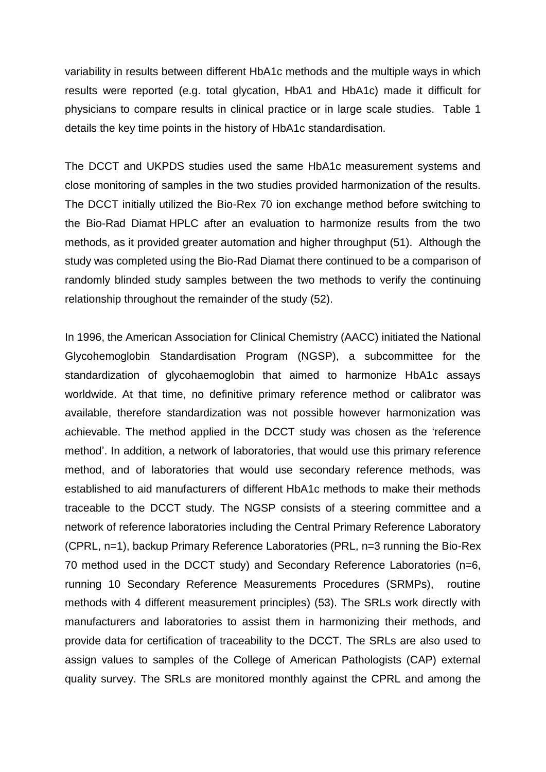variability in results between different HbA1c methods and the multiple ways in which results were reported (e.g. total glycation, HbA1 and HbA1c) made it difficult for physicians to compare results in clinical practice or in large scale studies. Table 1 details the key time points in the history of HbA1c standardisation.

The DCCT and UKPDS studies used the same HbA1c measurement systems and close monitoring of samples in the two studies provided harmonization of the results. The DCCT initially utilized the Bio-Rex 70 ion exchange method before switching to the Bio-Rad Diamat HPLC after an evaluation to harmonize results from the two methods, as it provided greater automation and higher throughput (51). Although the study was completed using the Bio-Rad Diamat there continued to be a comparison of randomly blinded study samples between the two methods to verify the continuing relationship throughout the remainder of the study (52).

In 1996, the American Association for Clinical Chemistry (AACC) initiated the National Glycohemoglobin Standardisation Program (NGSP), a subcommittee for the standardization of glycohaemoglobin that aimed to harmonize HbA1c assays worldwide. At that time, no definitive primary reference method or calibrator was available, therefore standardization was not possible however harmonization was achievable. The method applied in the DCCT study was chosen as the 'reference method'. In addition, a network of laboratories, that would use this primary reference method, and of laboratories that would use secondary reference methods, was established to aid manufacturers of different HbA1c methods to make their methods traceable to the DCCT study. The NGSP consists of a steering committee and a network of reference laboratories including the Central Primary Reference Laboratory (CPRL, n=1), backup Primary Reference Laboratories (PRL, n=3 running the Bio-Rex 70 method used in the DCCT study) and Secondary Reference Laboratories (n=6, running 10 Secondary Reference Measurements Procedures (SRMPs), routine methods with 4 different measurement principles) (53). The SRLs work directly with manufacturers and laboratories to assist them in harmonizing their methods, and provide data for certification of traceability to the DCCT. The SRLs are also used to assign values to samples of the College of American Pathologists (CAP) external quality survey. The SRLs are monitored monthly against the CPRL and among the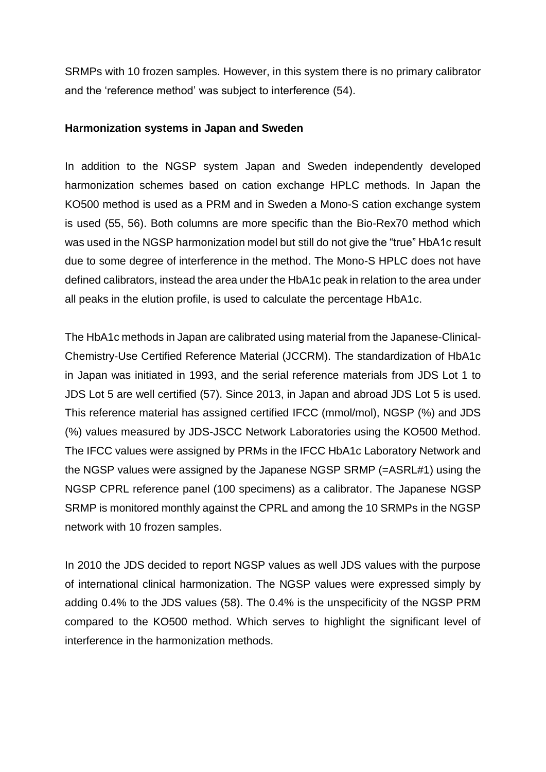SRMPs with 10 frozen samples. However, in this system there is no primary calibrator and the 'reference method' was subject to interference (54).

## **Harmonization systems in Japan and Sweden**

In addition to the NGSP system Japan and Sweden independently developed harmonization schemes based on cation exchange HPLC methods. In Japan the KO500 method is used as a PRM and in Sweden a Mono-S cation exchange system is used (55, 56). Both columns are more specific than the Bio-Rex70 method which was used in the NGSP harmonization model but still do not give the "true" HbA1c result due to some degree of interference in the method. The Mono-S HPLC does not have defined calibrators, instead the area under the HbA1c peak in relation to the area under all peaks in the elution profile, is used to calculate the percentage HbA1c.

The HbA1c methods in Japan are calibrated using material from the Japanese-Clinical-Chemistry-Use Certified Reference Material (JCCRM). The standardization of HbA1c in Japan was initiated in 1993, and the serial reference materials from JDS Lot 1 to JDS Lot 5 are well certified (57). Since 2013, in Japan and abroad JDS Lot 5 is used. This reference material has assigned certified IFCC (mmol/mol), NGSP (%) and JDS (%) values measured by JDS-JSCC Network Laboratories using the KO500 Method. The IFCC values were assigned by PRMs in the IFCC HbA1c Laboratory Network and the NGSP values were assigned by the Japanese NGSP SRMP (=ASRL#1) using the NGSP CPRL reference panel (100 specimens) as a calibrator. The Japanese NGSP SRMP is monitored monthly against the CPRL and among the 10 SRMPs in the NGSP network with 10 frozen samples.

In 2010 the JDS decided to report NGSP values as well JDS values with the purpose of international clinical harmonization. The NGSP values were expressed simply by adding 0.4% to the JDS values (58). The 0.4% is the unspecificity of the NGSP PRM compared to the KO500 method. Which serves to highlight the significant level of interference in the harmonization methods.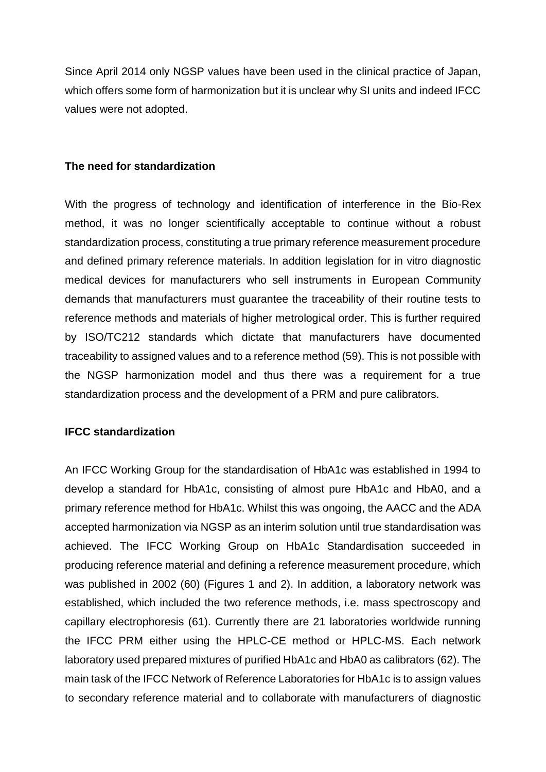Since April 2014 only NGSP values have been used in the clinical practice of Japan, which offers some form of harmonization but it is unclear why SI units and indeed IFCC values were not adopted.

#### **The need for standardization**

With the progress of technology and identification of interference in the Bio-Rex method, it was no longer scientifically acceptable to continue without a robust standardization process, constituting a true primary reference measurement procedure and defined primary reference materials. In addition legislation for in vitro diagnostic medical devices for manufacturers who sell instruments in European Community demands that manufacturers must guarantee the traceability of their routine tests to reference methods and materials of higher metrological order. This is further required by ISO/TC212 standards which dictate that manufacturers have documented traceability to assigned values and to a reference method (59). This is not possible with the NGSP harmonization model and thus there was a requirement for a true standardization process and the development of a PRM and pure calibrators.

## **IFCC standardization**

An IFCC Working Group for the standardisation of HbA1c was established in 1994 to develop a standard for HbA1c, consisting of almost pure HbA1c and HbA0, and a primary reference method for HbA1c. Whilst this was ongoing, the AACC and the ADA accepted harmonization via NGSP as an interim solution until true standardisation was achieved. The IFCC Working Group on HbA1c Standardisation succeeded in producing reference material and defining a reference measurement procedure, which was published in 2002 (60) (Figures 1 and 2). In addition, a laboratory network was established, which included the two reference methods, i.e. mass spectroscopy and capillary electrophoresis (61). Currently there are 21 laboratories worldwide running the IFCC PRM either using the HPLC-CE method or HPLC-MS. Each network laboratory used prepared mixtures of purified HbA1c and HbA0 as calibrators (62). The main task of the IFCC Network of Reference Laboratories for HbA1c is to assign values to secondary reference material and to collaborate with manufacturers of diagnostic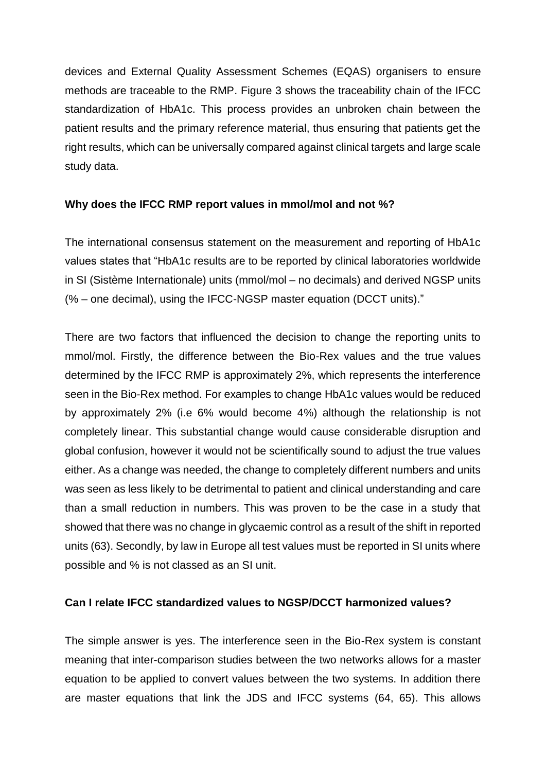devices and External Quality Assessment Schemes (EQAS) organisers to ensure methods are traceable to the RMP. Figure 3 shows the traceability chain of the IFCC standardization of HbA1c. This process provides an unbroken chain between the patient results and the primary reference material, thus ensuring that patients get the right results, which can be universally compared against clinical targets and large scale study data.

## **Why does the IFCC RMP report values in mmol/mol and not %?**

The international consensus statement on the measurement and reporting of HbA1c values states that "HbA1c results are to be reported by clinical laboratories worldwide in SI (Sistème Internationale) units (mmol/mol – no decimals) and derived NGSP units (% – one decimal), using the IFCC-NGSP master equation (DCCT units)."

There are two factors that influenced the decision to change the reporting units to mmol/mol. Firstly, the difference between the Bio-Rex values and the true values determined by the IFCC RMP is approximately 2%, which represents the interference seen in the Bio-Rex method. For examples to change HbA1c values would be reduced by approximately 2% (i.e 6% would become 4%) although the relationship is not completely linear. This substantial change would cause considerable disruption and global confusion, however it would not be scientifically sound to adjust the true values either. As a change was needed, the change to completely different numbers and units was seen as less likely to be detrimental to patient and clinical understanding and care than a small reduction in numbers. This was proven to be the case in a study that showed that there was no change in glycaemic control as a result of the shift in reported units (63). Secondly, by law in Europe all test values must be reported in SI units where possible and % is not classed as an SI unit.

# **Can I relate IFCC standardized values to NGSP/DCCT harmonized values?**

The simple answer is yes. The interference seen in the Bio-Rex system is constant meaning that inter-comparison studies between the two networks allows for a master equation to be applied to convert values between the two systems. In addition there are master equations that link the JDS and IFCC systems (64, 65). This allows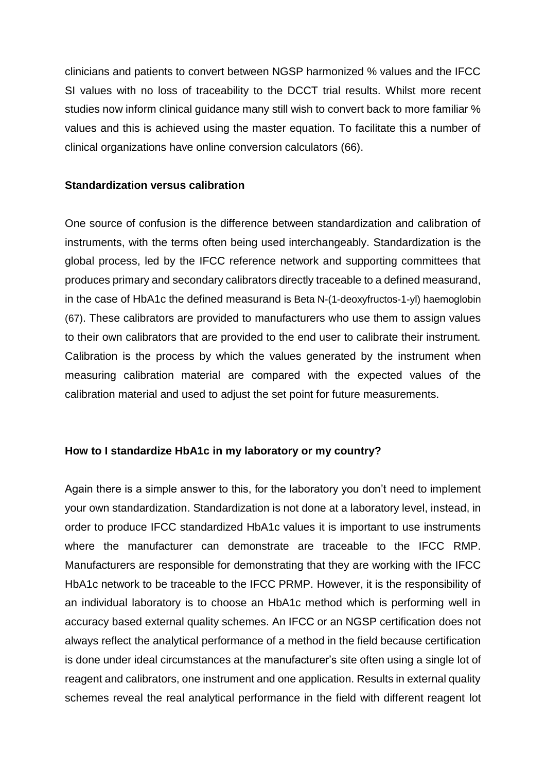clinicians and patients to convert between NGSP harmonized % values and the IFCC SI values with no loss of traceability to the DCCT trial results. Whilst more recent studies now inform clinical guidance many still wish to convert back to more familiar % values and this is achieved using the master equation. To facilitate this a number of clinical organizations have online conversion calculators (66).

#### **Standardization versus calibration**

One source of confusion is the difference between standardization and calibration of instruments, with the terms often being used interchangeably. Standardization is the global process, led by the IFCC reference network and supporting committees that produces primary and secondary calibrators directly traceable to a defined measurand, in the case of HbA1c the defined measurand is Beta N-(1-deoxyfructos-1-yl) haemoglobin (67). These calibrators are provided to manufacturers who use them to assign values to their own calibrators that are provided to the end user to calibrate their instrument. Calibration is the process by which the values generated by the instrument when measuring calibration material are compared with the expected values of the calibration material and used to adjust the set point for future measurements.

## **How to I standardize HbA1c in my laboratory or my country?**

Again there is a simple answer to this, for the laboratory you don't need to implement your own standardization. Standardization is not done at a laboratory level, instead, in order to produce IFCC standardized HbA1c values it is important to use instruments where the manufacturer can demonstrate are traceable to the IFCC RMP. Manufacturers are responsible for demonstrating that they are working with the IFCC HbA1c network to be traceable to the IFCC PRMP. However, it is the responsibility of an individual laboratory is to choose an HbA1c method which is performing well in accuracy based external quality schemes. An IFCC or an NGSP certification does not always reflect the analytical performance of a method in the field because certification is done under ideal circumstances at the manufacturer's site often using a single lot of reagent and calibrators, one instrument and one application. Results in external quality schemes reveal the real analytical performance in the field with different reagent lot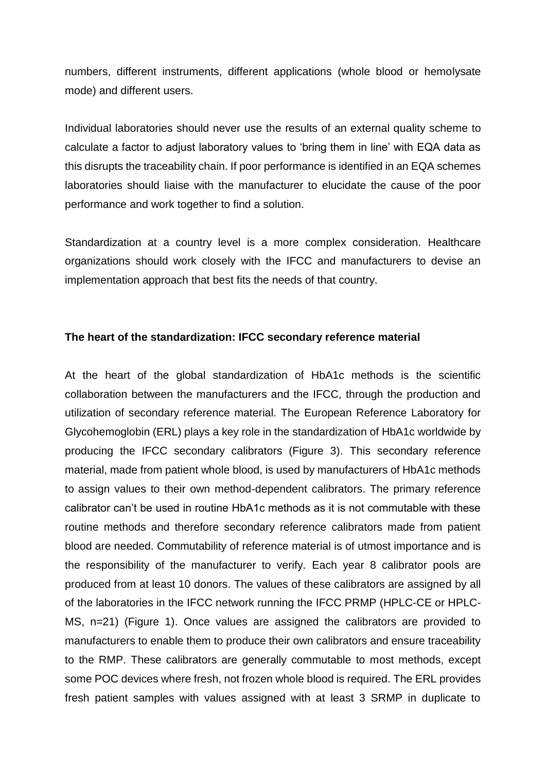numbers, different instruments, different applications (whole blood or hemolysate mode) and different users.

Individual laboratories should never use the results of an external quality scheme to calculate a factor to adjust laboratory values to 'bring them in line' with EQA data as this disrupts the traceability chain. If poor performance is identified in an EQA schemes laboratories should liaise with the manufacturer to elucidate the cause of the poor performance and work together to find a solution.

Standardization at a country level is a more complex consideration. Healthcare organizations should work closely with the IFCC and manufacturers to devise an implementation approach that best fits the needs of that country.

#### **The heart of the standardization: IFCC secondary reference material**

At the heart of the global standardization of HbA1c methods is the scientific collaboration between the manufacturers and the IFCC, through the production and utilization of secondary reference material. The European Reference Laboratory for Glycohemoglobin (ERL) plays a key role in the standardization of HbA1c worldwide by producing the IFCC secondary calibrators (Figure 3). This secondary reference material, made from patient whole blood, is used by manufacturers of HbA1c methods to assign values to their own method-dependent calibrators. The primary reference calibrator can't be used in routine HbA1c methods as it is not commutable with these routine methods and therefore secondary reference calibrators made from patient blood are needed. Commutability of reference material is of utmost importance and is the responsibility of the manufacturer to verify. Each year 8 calibrator pools are produced from at least 10 donors. The values of these calibrators are assigned by all of the laboratories in the IFCC network running the IFCC PRMP (HPLC-CE or HPLC-MS, n=21) (Figure 1). Once values are assigned the calibrators are provided to manufacturers to enable them to produce their own calibrators and ensure traceability to the RMP. These calibrators are generally commutable to most methods, except some POC devices where fresh, not frozen whole blood is required. The ERL provides fresh patient samples with values assigned with at least 3 SRMP in duplicate to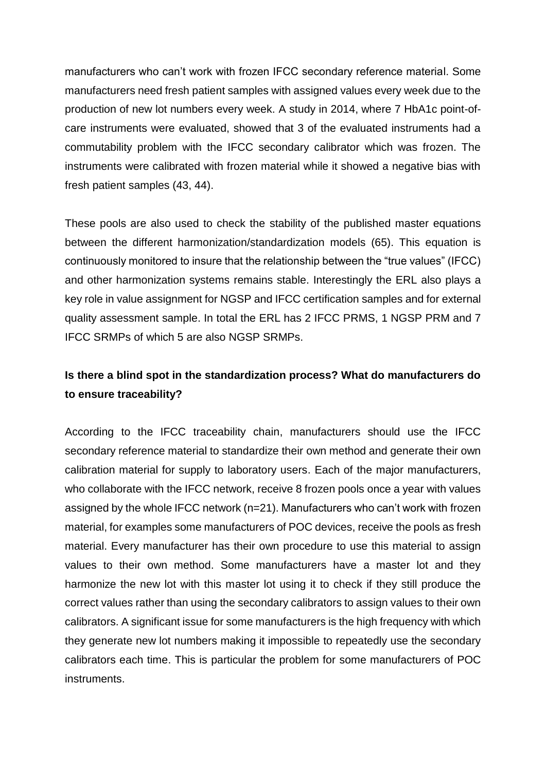manufacturers who can't work with frozen IFCC secondary reference material. Some manufacturers need fresh patient samples with assigned values every week due to the production of new lot numbers every week. A study in 2014, where 7 HbA1c point-ofcare instruments were evaluated, showed that 3 of the evaluated instruments had a commutability problem with the IFCC secondary calibrator which was frozen. The instruments were calibrated with frozen material while it showed a negative bias with fresh patient samples (43, 44).

These pools are also used to check the stability of the published master equations between the different harmonization/standardization models (65). This equation is continuously monitored to insure that the relationship between the "true values" (IFCC) and other harmonization systems remains stable. Interestingly the ERL also plays a key role in value assignment for NGSP and IFCC certification samples and for external quality assessment sample. In total the ERL has 2 IFCC PRMS, 1 NGSP PRM and 7 IFCC SRMPs of which 5 are also NGSP SRMPs.

# **Is there a blind spot in the standardization process? What do manufacturers do to ensure traceability?**

According to the IFCC traceability chain, manufacturers should use the IFCC secondary reference material to standardize their own method and generate their own calibration material for supply to laboratory users. Each of the major manufacturers, who collaborate with the IFCC network, receive 8 frozen pools once a year with values assigned by the whole IFCC network (n=21). Manufacturers who can't work with frozen material, for examples some manufacturers of POC devices, receive the pools as fresh material. Every manufacturer has their own procedure to use this material to assign values to their own method. Some manufacturers have a master lot and they harmonize the new lot with this master lot using it to check if they still produce the correct values rather than using the secondary calibrators to assign values to their own calibrators. A significant issue for some manufacturers is the high frequency with which they generate new lot numbers making it impossible to repeatedly use the secondary calibrators each time. This is particular the problem for some manufacturers of POC instruments.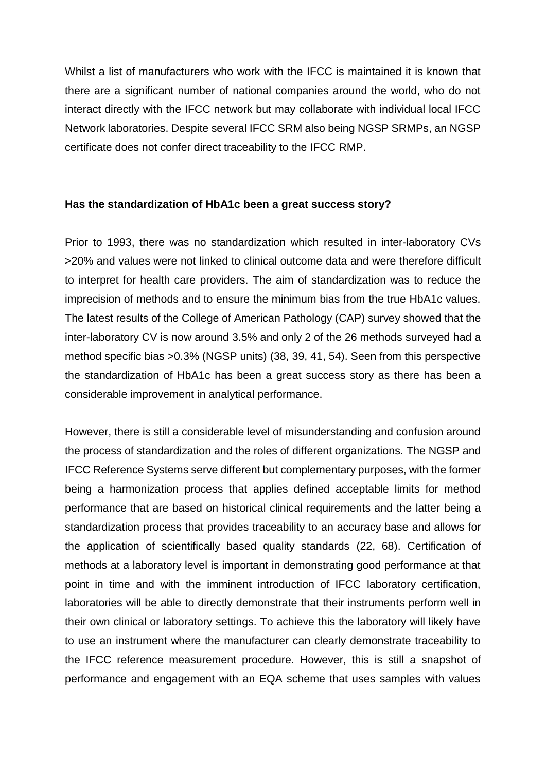Whilst a list of manufacturers who work with the IFCC is maintained it is known that there are a significant number of national companies around the world, who do not interact directly with the IFCC network but may collaborate with individual local IFCC Network laboratories. Despite several IFCC SRM also being NGSP SRMPs, an NGSP certificate does not confer direct traceability to the IFCC RMP.

## **Has the standardization of HbA1c been a great success story?**

Prior to 1993, there was no standardization which resulted in inter-laboratory CVs >20% and values were not linked to clinical outcome data and were therefore difficult to interpret for health care providers. The aim of standardization was to reduce the imprecision of methods and to ensure the minimum bias from the true HbA1c values. The latest results of the College of American Pathology (CAP) survey showed that the inter-laboratory CV is now around 3.5% and only 2 of the 26 methods surveyed had a method specific bias >0.3% (NGSP units) (38, 39, 41, 54). Seen from this perspective the standardization of HbA1c has been a great success story as there has been a considerable improvement in analytical performance.

However, there is still a considerable level of misunderstanding and confusion around the process of standardization and the roles of different organizations. The NGSP and IFCC Reference Systems serve different but complementary purposes, with the former being a harmonization process that applies defined acceptable limits for method performance that are based on historical clinical requirements and the latter being a standardization process that provides traceability to an accuracy base and allows for the application of scientifically based quality standards (22, 68). Certification of methods at a laboratory level is important in demonstrating good performance at that point in time and with the imminent introduction of IFCC laboratory certification, laboratories will be able to directly demonstrate that their instruments perform well in their own clinical or laboratory settings. To achieve this the laboratory will likely have to use an instrument where the manufacturer can clearly demonstrate traceability to the IFCC reference measurement procedure. However, this is still a snapshot of performance and engagement with an EQA scheme that uses samples with values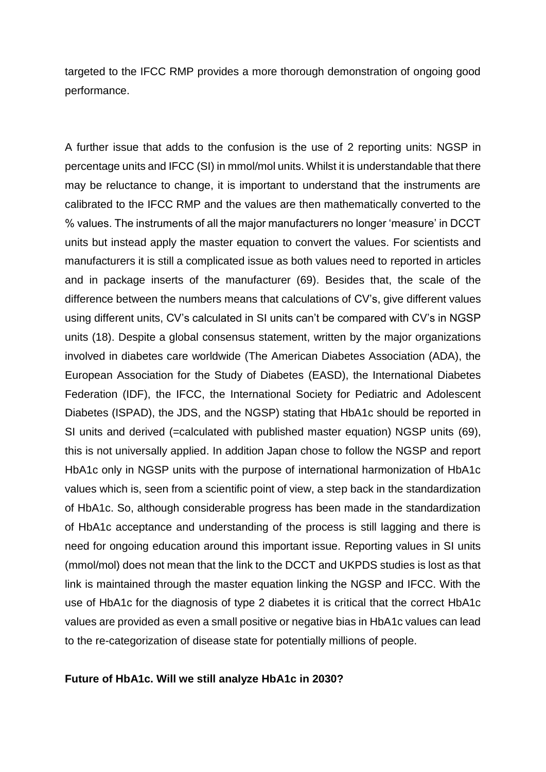targeted to the IFCC RMP provides a more thorough demonstration of ongoing good performance.

A further issue that adds to the confusion is the use of 2 reporting units: NGSP in percentage units and IFCC (SI) in mmol/mol units. Whilst it is understandable that there may be reluctance to change, it is important to understand that the instruments are calibrated to the IFCC RMP and the values are then mathematically converted to the % values. The instruments of all the major manufacturers no longer 'measure' in DCCT units but instead apply the master equation to convert the values. For scientists and manufacturers it is still a complicated issue as both values need to reported in articles and in package inserts of the manufacturer (69). Besides that, the scale of the difference between the numbers means that calculations of CV's, give different values using different units, CV's calculated in SI units can't be compared with CV's in NGSP units (18). Despite a global consensus statement, written by the major organizations involved in diabetes care worldwide (The American Diabetes Association (ADA), the European Association for the Study of Diabetes (EASD), the International Diabetes Federation (IDF), the IFCC, the International Society for Pediatric and Adolescent Diabetes (ISPAD), the JDS, and the NGSP) stating that HbA1c should be reported in SI units and derived (=calculated with published master equation) NGSP units (69), this is not universally applied. In addition Japan chose to follow the NGSP and report HbA1c only in NGSP units with the purpose of international harmonization of HbA1c values which is, seen from a scientific point of view, a step back in the standardization of HbA1c. So, although considerable progress has been made in the standardization of HbA1c acceptance and understanding of the process is still lagging and there is need for ongoing education around this important issue. Reporting values in SI units (mmol/mol) does not mean that the link to the DCCT and UKPDS studies is lost as that link is maintained through the master equation linking the NGSP and IFCC. With the use of HbA1c for the diagnosis of type 2 diabetes it is critical that the correct HbA1c values are provided as even a small positive or negative bias in HbA1c values can lead to the re-categorization of disease state for potentially millions of people.

#### **Future of HbA1c. Will we still analyze HbA1c in 2030?**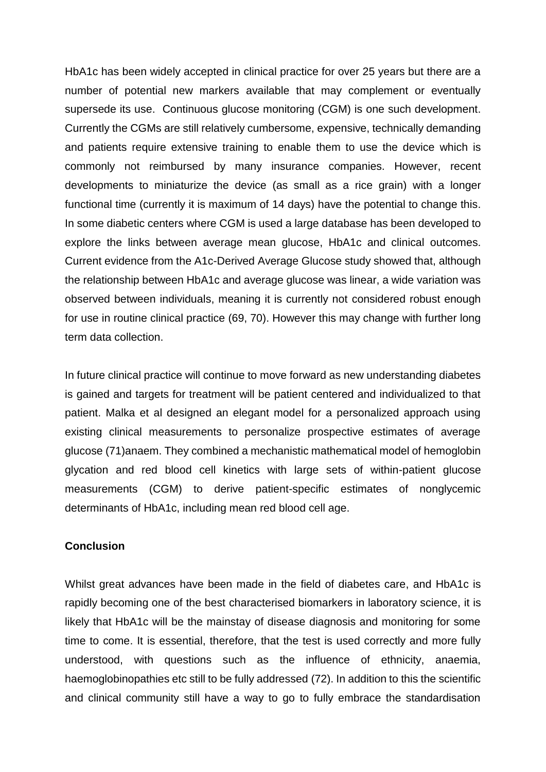HbA1c has been widely accepted in clinical practice for over 25 years but there are a number of potential new markers available that may complement or eventually supersede its use. Continuous glucose monitoring (CGM) is one such development. Currently the CGMs are still relatively cumbersome, expensive, technically demanding and patients require extensive training to enable them to use the device which is commonly not reimbursed by many insurance companies. However, recent developments to miniaturize the device (as small as a rice grain) with a longer functional time (currently it is maximum of 14 days) have the potential to change this. In some diabetic centers where CGM is used a large database has been developed to explore the links between average mean glucose, HbA1c and clinical outcomes. Current evidence from the A1c-Derived Average Glucose study showed that, although the relationship between HbA1c and average glucose was linear, a wide variation was observed between individuals, meaning it is currently not considered robust enough for use in routine clinical practice (69, 70). However this may change with further long term data collection.

In future clinical practice will continue to move forward as new understanding diabetes is gained and targets for treatment will be patient centered and individualized to that patient. Malka et al designed an elegant model for a personalized approach using existing clinical measurements to personalize prospective estimates of average glucose (71)anaem. They combined a mechanistic mathematical model of hemoglobin glycation and red blood cell kinetics with large sets of within-patient glucose measurements (CGM) to derive patient-specific estimates of nonglycemic determinants of HbA1c, including mean red blood cell age.

## **Conclusion**

Whilst great advances have been made in the field of diabetes care, and HbA1c is rapidly becoming one of the best characterised biomarkers in laboratory science, it is likely that HbA1c will be the mainstay of disease diagnosis and monitoring for some time to come. It is essential, therefore, that the test is used correctly and more fully understood, with questions such as the influence of ethnicity, anaemia, haemoglobinopathies etc still to be fully addressed (72). In addition to this the scientific and clinical community still have a way to go to fully embrace the standardisation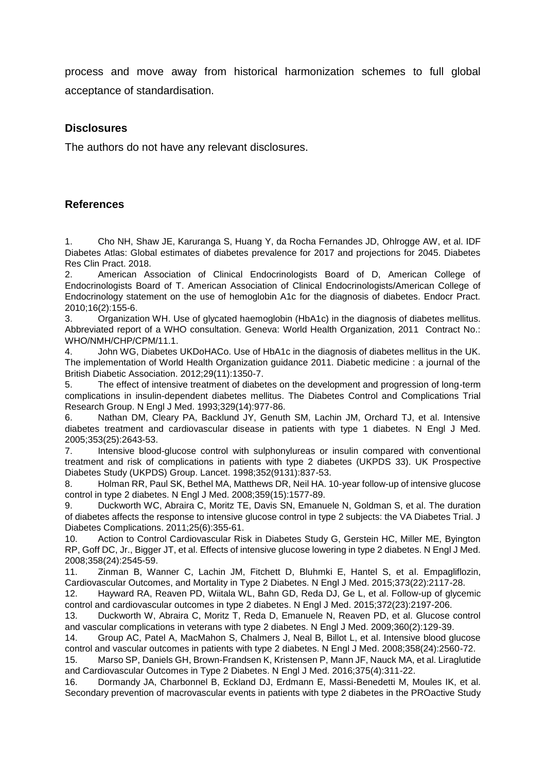process and move away from historical harmonization schemes to full global acceptance of standardisation.

#### **Disclosures**

The authors do not have any relevant disclosures.

## **References**

1. Cho NH, Shaw JE, Karuranga S, Huang Y, da Rocha Fernandes JD, Ohlrogge AW, et al. IDF Diabetes Atlas: Global estimates of diabetes prevalence for 2017 and projections for 2045. Diabetes Res Clin Pract. 2018.

2. American Association of Clinical Endocrinologists Board of D, American College of Endocrinologists Board of T. American Association of Clinical Endocrinologists/American College of Endocrinology statement on the use of hemoglobin A1c for the diagnosis of diabetes. Endocr Pract. 2010;16(2):155-6.

3. Organization WH. Use of glycated haemoglobin (HbA1c) in the diagnosis of diabetes mellitus. Abbreviated report of a WHO consultation. Geneva: World Health Organization, 2011 Contract No.: WHO/NMH/CHP/CPM/11.1.

4. John WG, Diabetes UKDoHACo. Use of HbA1c in the diagnosis of diabetes mellitus in the UK. The implementation of World Health Organization guidance 2011. Diabetic medicine : a journal of the British Diabetic Association. 2012;29(11):1350-7.

5. The effect of intensive treatment of diabetes on the development and progression of long-term complications in insulin-dependent diabetes mellitus. The Diabetes Control and Complications Trial Research Group. N Engl J Med. 1993;329(14):977-86.

6. Nathan DM, Cleary PA, Backlund JY, Genuth SM, Lachin JM, Orchard TJ, et al. Intensive diabetes treatment and cardiovascular disease in patients with type 1 diabetes. N Engl J Med. 2005;353(25):2643-53.

7. Intensive blood-glucose control with sulphonylureas or insulin compared with conventional treatment and risk of complications in patients with type 2 diabetes (UKPDS 33). UK Prospective Diabetes Study (UKPDS) Group. Lancet. 1998;352(9131):837-53.

8. Holman RR, Paul SK, Bethel MA, Matthews DR, Neil HA. 10-year follow-up of intensive glucose control in type 2 diabetes. N Engl J Med. 2008;359(15):1577-89.

9. Duckworth WC, Abraira C, Moritz TE, Davis SN, Emanuele N, Goldman S, et al. The duration of diabetes affects the response to intensive glucose control in type 2 subjects: the VA Diabetes Trial. J Diabetes Complications. 2011;25(6):355-61.

10. Action to Control Cardiovascular Risk in Diabetes Study G, Gerstein HC, Miller ME, Byington RP, Goff DC, Jr., Bigger JT, et al. Effects of intensive glucose lowering in type 2 diabetes. N Engl J Med. 2008;358(24):2545-59.

11. Zinman B, Wanner C, Lachin JM, Fitchett D, Bluhmki E, Hantel S, et al. Empagliflozin, Cardiovascular Outcomes, and Mortality in Type 2 Diabetes. N Engl J Med. 2015;373(22):2117-28.

12. Hayward RA, Reaven PD, Wiitala WL, Bahn GD, Reda DJ, Ge L, et al. Follow-up of glycemic control and cardiovascular outcomes in type 2 diabetes. N Engl J Med. 2015;372(23):2197-206.

13. Duckworth W, Abraira C, Moritz T, Reda D, Emanuele N, Reaven PD, et al. Glucose control and vascular complications in veterans with type 2 diabetes. N Engl J Med. 2009;360(2):129-39.

14. Group AC, Patel A, MacMahon S, Chalmers J, Neal B, Billot L, et al. Intensive blood glucose control and vascular outcomes in patients with type 2 diabetes. N Engl J Med. 2008;358(24):2560-72.

15. Marso SP, Daniels GH, Brown-Frandsen K, Kristensen P, Mann JF, Nauck MA, et al. Liraglutide and Cardiovascular Outcomes in Type 2 Diabetes. N Engl J Med. 2016;375(4):311-22.

16. Dormandy JA, Charbonnel B, Eckland DJ, Erdmann E, Massi-Benedetti M, Moules IK, et al. Secondary prevention of macrovascular events in patients with type 2 diabetes in the PROactive Study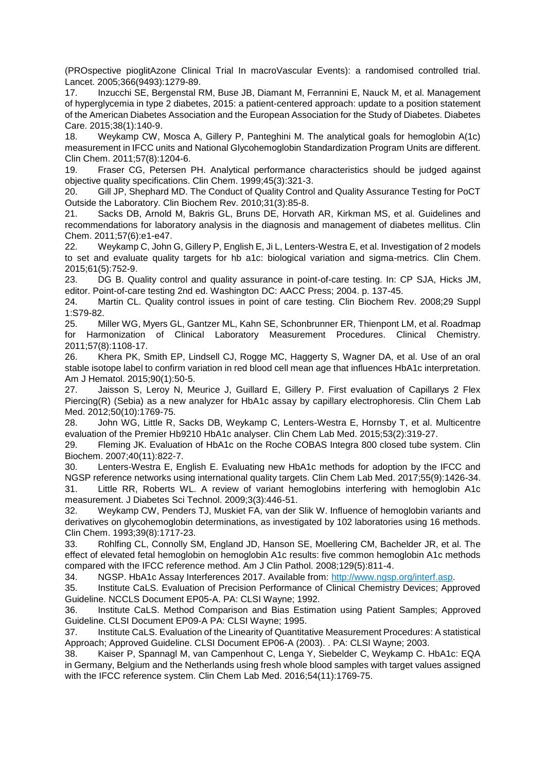(PROspective pioglitAzone Clinical Trial In macroVascular Events): a randomised controlled trial. Lancet. 2005;366(9493):1279-89.

17. Inzucchi SE, Bergenstal RM, Buse JB, Diamant M, Ferrannini E, Nauck M, et al. Management of hyperglycemia in type 2 diabetes, 2015: a patient-centered approach: update to a position statement of the American Diabetes Association and the European Association for the Study of Diabetes. Diabetes Care. 2015;38(1):140-9.

18. Weykamp CW, Mosca A, Gillery P, Panteghini M. The analytical goals for hemoglobin A(1c) measurement in IFCC units and National Glycohemoglobin Standardization Program Units are different. Clin Chem. 2011;57(8):1204-6.

19. Fraser CG, Petersen PH. Analytical performance characteristics should be judged against objective quality specifications. Clin Chem. 1999;45(3):321-3.

20. Gill JP, Shephard MD. The Conduct of Quality Control and Quality Assurance Testing for PoCT Outside the Laboratory. Clin Biochem Rev. 2010;31(3):85-8.

21. Sacks DB, Arnold M, Bakris GL, Bruns DE, Horvath AR, Kirkman MS, et al. Guidelines and recommendations for laboratory analysis in the diagnosis and management of diabetes mellitus. Clin Chem. 2011;57(6):e1-e47.

22. Weykamp C, John G, Gillery P, English E, Ji L, Lenters-Westra E, et al. Investigation of 2 models to set and evaluate quality targets for hb a1c: biological variation and sigma-metrics. Clin Chem. 2015;61(5):752-9.

23. DG B. Quality control and quality assurance in point-of-care testing. In: CP SJA, Hicks JM, editor. Point-of-care testing 2nd ed. Washington DC: AACC Press; 2004. p. 137-45.

24. Martin CL. Quality control issues in point of care testing. Clin Biochem Rev. 2008;29 Suppl 1:S79-82.

25. Miller WG, Myers GL, Gantzer ML, Kahn SE, Schonbrunner ER, Thienpont LM, et al. Roadmap for Harmonization of Clinical Laboratory Measurement Procedures. Clinical Chemistry. 2011;57(8):1108-17.

26. Khera PK, Smith EP, Lindsell CJ, Rogge MC, Haggerty S, Wagner DA, et al. Use of an oral stable isotope label to confirm variation in red blood cell mean age that influences HbA1c interpretation. Am J Hematol. 2015;90(1):50-5.

27. Jaisson S, Leroy N, Meurice J, Guillard E, Gillery P. First evaluation of Capillarys 2 Flex Piercing(R) (Sebia) as a new analyzer for HbA1c assay by capillary electrophoresis. Clin Chem Lab Med. 2012;50(10):1769-75.

28. John WG, Little R, Sacks DB, Weykamp C, Lenters-Westra E, Hornsby T, et al. Multicentre evaluation of the Premier Hb9210 HbA1c analyser. Clin Chem Lab Med. 2015;53(2):319-27.

29. Fleming JK. Evaluation of HbA1c on the Roche COBAS Integra 800 closed tube system. Clin Biochem. 2007;40(11):822-7.

30. Lenters-Westra E, English E. Evaluating new HbA1c methods for adoption by the IFCC and NGSP reference networks using international quality targets. Clin Chem Lab Med. 2017;55(9):1426-34.

31. Little RR, Roberts WL. A review of variant hemoglobins interfering with hemoglobin A1c measurement. J Diabetes Sci Technol. 2009;3(3):446-51.

32. Weykamp CW, Penders TJ, Muskiet FA, van der Slik W. Influence of hemoglobin variants and derivatives on glycohemoglobin determinations, as investigated by 102 laboratories using 16 methods. Clin Chem. 1993;39(8):1717-23.

33. Rohlfing CL, Connolly SM, England JD, Hanson SE, Moellering CM, Bachelder JR, et al. The effect of elevated fetal hemoglobin on hemoglobin A1c results: five common hemoglobin A1c methods compared with the IFCC reference method. Am J Clin Pathol. 2008;129(5):811-4.

34. NGSP. HbA1c Assay Interferences 2017. Available from: [http://www.ngsp.org/interf.asp.](http://www.ngsp.org/interf.asp)

35. Institute CaLS. Evaluation of Precision Performance of Clinical Chemistry Devices; Approved Guideline. NCCLS Document EP05-A. PA: CLSI Wayne; 1992.

36. Institute CaLS. Method Comparison and Bias Estimation using Patient Samples; Approved Guideline. CLSI Document EP09-A PA: CLSI Wayne; 1995.

37. Institute CaLS. Evaluation of the Linearity of Quantitative Measurement Procedures: A statistical Approach; Approved Guideline. CLSI Document EP06-A (2003). . PA: CLSI Wayne; 2003.

38. Kaiser P, Spannagl M, van Campenhout C, Lenga Y, Siebelder C, Weykamp C. HbA1c: EQA in Germany, Belgium and the Netherlands using fresh whole blood samples with target values assigned with the IFCC reference system. Clin Chem Lab Med. 2016;54(11):1769-75.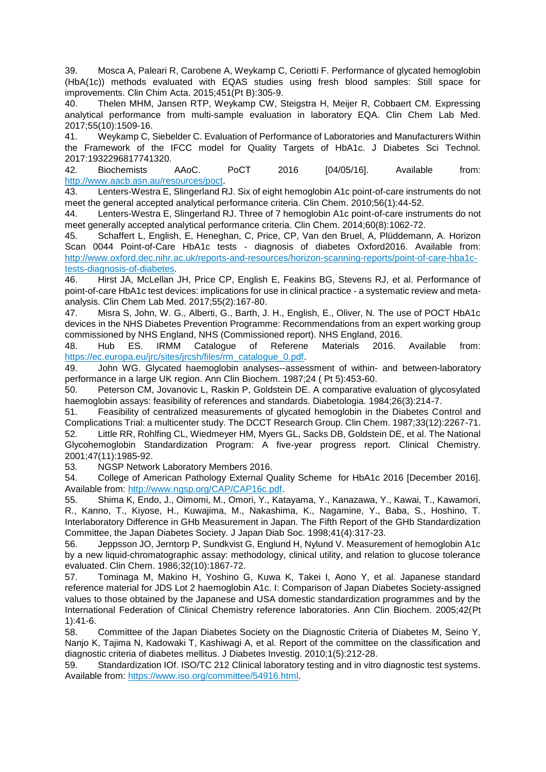39. Mosca A, Paleari R, Carobene A, Weykamp C, Ceriotti F. Performance of glycated hemoglobin (HbA(1c)) methods evaluated with EQAS studies using fresh blood samples: Still space for improvements. Clin Chim Acta. 2015;451(Pt B):305-9.

40. Thelen MHM, Jansen RTP, Weykamp CW, Steigstra H, Meijer R, Cobbaert CM. Expressing analytical performance from multi-sample evaluation in laboratory EQA. Clin Chem Lab Med. 2017;55(10):1509-16.

41. Weykamp C, Siebelder C. Evaluation of Performance of Laboratories and Manufacturers Within the Framework of the IFCC model for Quality Targets of HbA1c. J Diabetes Sci Technol. 2017:1932296817741320.

42. Biochemists AAoC. PoCT 2016 [04/05/16]. Available from: [http://www.aacb.asn.au/resources/poct.](http://www.aacb.asn.au/resources/poct)

43. Lenters-Westra E, Slingerland RJ. Six of eight hemoglobin A1c point-of-care instruments do not meet the general accepted analytical performance criteria. Clin Chem. 2010;56(1):44-52.

44. Lenters-Westra E, Slingerland RJ. Three of 7 hemoglobin A1c point-of-care instruments do not meet generally accepted analytical performance criteria. Clin Chem. 2014;60(8):1062-72.

45. Schaffert L, English, E, Heneghan, C, Price, CP, Van den Bruel, A, Plüddemann, A. Horizon Scan 0044 Point-of-Care HbA1c tests - diagnosis of diabetes Oxford2016. Available from: [http://www.oxford.dec.nihr.ac.uk/reports-and-resources/horizon-scanning-reports/point-of-care-hba1c](http://www.oxford.dec.nihr.ac.uk/reports-and-resources/horizon-scanning-reports/point-of-care-hba1c-tests-diagnosis-of-diabetes)[tests-diagnosis-of-diabetes.](http://www.oxford.dec.nihr.ac.uk/reports-and-resources/horizon-scanning-reports/point-of-care-hba1c-tests-diagnosis-of-diabetes)

46. Hirst JA, McLellan JH, Price CP, English E, Feakins BG, Stevens RJ, et al. Performance of point-of-care HbA1c test devices: implications for use in clinical practice - a systematic review and metaanalysis. Clin Chem Lab Med. 2017;55(2):167-80.

47. Misra S, John, W. G., Alberti, G., Barth, J. H., English, E., Oliver, N. The use of POCT HbA1c devices in the NHS Diabetes Prevention Programme: Recommendations from an expert working group commissioned by NHS England, NHS (Commissioned report). NHS England, 2016.

48. Hub ES. IRMM Catalogue of Referene Materials 2016. Available from: [https://ec.europa.eu/jrc/sites/jrcsh/files/rm\\_catalogue\\_0.pdf.](https://ec.europa.eu/jrc/sites/jrcsh/files/rm_catalogue_0.pdf)

49. John WG. Glycated haemoglobin analyses--assessment of within- and between-laboratory performance in a large UK region. Ann Clin Biochem. 1987;24 ( Pt 5):453-60.

50. Peterson CM, Jovanovic L, Raskin P, Goldstein DE. A comparative evaluation of glycosylated haemoglobin assays: feasibility of references and standards. Diabetologia. 1984;26(3):214-7.

51. Feasibility of centralized measurements of glycated hemoglobin in the Diabetes Control and Complications Trial: a multicenter study. The DCCT Research Group. Clin Chem. 1987;33(12):2267-71. 52. Little RR, Rohlfing CL, Wiedmeyer HM, Myers GL, Sacks DB, Goldstein DE, et al. The National Glycohemoglobin Standardization Program: A five-year progress report. Clinical Chemistry. 2001;47(11):1985-92.

53. NGSP Network Laboratory Members 2016.

54. College of American Pathology External Quality Scheme for HbA1c 2016 [December 2016]. Available from: [http://www.ngsp.org/CAP/CAP16c.pdf.](http://www.ngsp.org/CAP/CAP16c.pdf)

55. Shima K, Endo, J., Oimomi, M., Omori, Y., Katayama, Y., Kanazawa, Y., Kawai, T., Kawamori, R., Kanno, T., Kiyose, H., Kuwajima, M., Nakashima, K., Nagamine, Y., Baba, S., Hoshino, T. Interlaboratory Difference in GHb Measurement in Japan. The Fifth Report of the GHb Standardization Committee, the Japan Diabetes Society. J Japan Diab Soc. 1998;41(4):317-23.

56. Jeppsson JO, Jerntorp P, Sundkvist G, Englund H, Nylund V. Measurement of hemoglobin A1c by a new liquid-chromatographic assay: methodology, clinical utility, and relation to glucose tolerance evaluated. Clin Chem. 1986;32(10):1867-72.

57. Tominaga M, Makino H, Yoshino G, Kuwa K, Takei I, Aono Y, et al. Japanese standard reference material for JDS Lot 2 haemoglobin A1c. I: Comparison of Japan Diabetes Society-assigned values to those obtained by the Japanese and USA domestic standardization programmes and by the International Federation of Clinical Chemistry reference laboratories. Ann Clin Biochem. 2005;42(Pt 1):41-6.

58. Committee of the Japan Diabetes Society on the Diagnostic Criteria of Diabetes M, Seino Y, Nanjo K, Tajima N, Kadowaki T, Kashiwagi A, et al. Report of the committee on the classification and diagnostic criteria of diabetes mellitus. J Diabetes Investig. 2010;1(5):212-28.

59. Standardization IOf. ISO/TC 212 Clinical laboratory testing and in vitro diagnostic test systems. Available from: [https://www.iso.org/committee/54916.html.](https://www.iso.org/committee/54916.html)